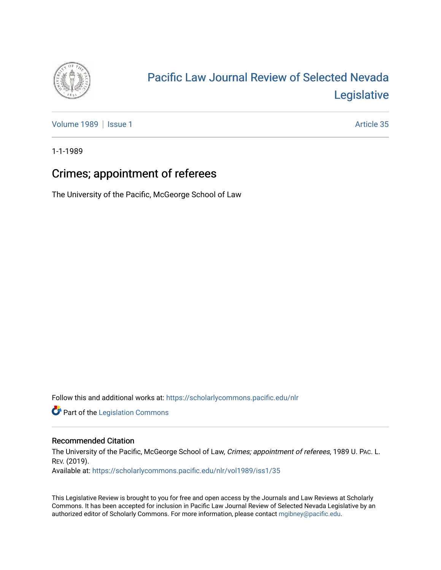

# [Pacific Law Journal Review of Selected Nevada](https://scholarlycommons.pacific.edu/nlr)  [Legislative](https://scholarlycommons.pacific.edu/nlr)

[Volume 1989](https://scholarlycommons.pacific.edu/nlr/vol1989) | [Issue 1](https://scholarlycommons.pacific.edu/nlr/vol1989/iss1) Article 35

1-1-1989

## Crimes; appointment of referees

The University of the Pacific, McGeorge School of Law

Follow this and additional works at: [https://scholarlycommons.pacific.edu/nlr](https://scholarlycommons.pacific.edu/nlr?utm_source=scholarlycommons.pacific.edu%2Fnlr%2Fvol1989%2Fiss1%2F35&utm_medium=PDF&utm_campaign=PDFCoverPages) 

**Part of the [Legislation Commons](http://network.bepress.com/hgg/discipline/859?utm_source=scholarlycommons.pacific.edu%2Fnlr%2Fvol1989%2Fiss1%2F35&utm_medium=PDF&utm_campaign=PDFCoverPages)** 

### Recommended Citation

The University of the Pacific, McGeorge School of Law, Crimes; appointment of referees, 1989 U. PAc. L. REV. (2019). Available at: [https://scholarlycommons.pacific.edu/nlr/vol1989/iss1/35](https://scholarlycommons.pacific.edu/nlr/vol1989/iss1/35?utm_source=scholarlycommons.pacific.edu%2Fnlr%2Fvol1989%2Fiss1%2F35&utm_medium=PDF&utm_campaign=PDFCoverPages)

This Legislative Review is brought to you for free and open access by the Journals and Law Reviews at Scholarly Commons. It has been accepted for inclusion in Pacific Law Journal Review of Selected Nevada Legislative by an authorized editor of Scholarly Commons. For more information, please contact [mgibney@pacific.edu](mailto:mgibney@pacific.edu).